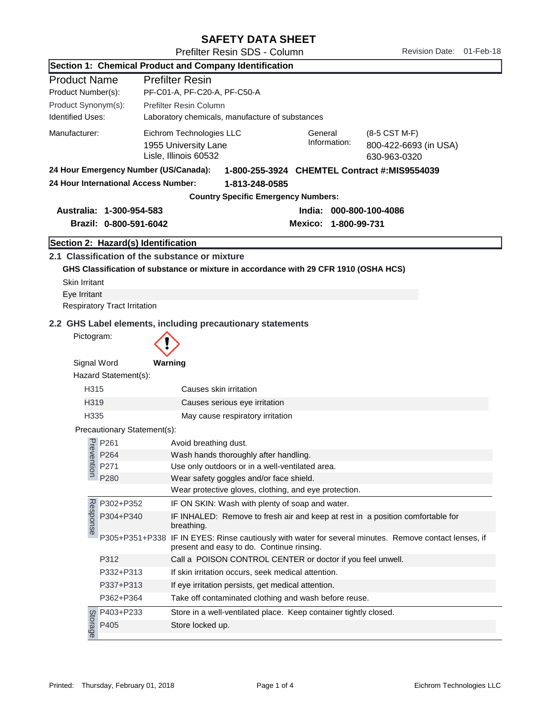|                         | Revision Date: 01-Feb-18<br>Prefilter Resin SDS - Column        |                                                                                                                                                    |  |                         |                      |                                                        |  |  |
|-------------------------|-----------------------------------------------------------------|----------------------------------------------------------------------------------------------------------------------------------------------------|--|-------------------------|----------------------|--------------------------------------------------------|--|--|
|                         |                                                                 | Section 1: Chemical Product and Company Identification                                                                                             |  |                         |                      |                                                        |  |  |
| <b>Product Name</b>     |                                                                 | <b>Prefilter Resin</b>                                                                                                                             |  |                         |                      |                                                        |  |  |
| Product Number(s):      |                                                                 | PF-C01-A, PF-C20-A, PF-C50-A                                                                                                                       |  |                         |                      |                                                        |  |  |
|                         | Product Synonym(s):<br>Prefilter Resin Column                   |                                                                                                                                                    |  |                         |                      |                                                        |  |  |
| <b>Identified Uses:</b> |                                                                 | Laboratory chemicals, manufacture of substances                                                                                                    |  |                         |                      |                                                        |  |  |
| Manufacturer:           |                                                                 | Eichrom Technologies LLC<br>1955 University Lane<br>Lisle, Illinois 60532                                                                          |  | General<br>Information: |                      | (8-5 CST M-F)<br>800-422-6693 (in USA)<br>630-963-0320 |  |  |
|                         | 24 Hour Emergency Number (US/Canada):                           |                                                                                                                                                    |  |                         |                      | 1-800-255-3924 CHEMTEL Contract #:MIS9554039           |  |  |
|                         | 24 Hour International Access Number:                            | 1-813-248-0585<br><b>Country Specific Emergency Numbers:</b>                                                                                       |  |                         |                      |                                                        |  |  |
|                         | Australia: 1-300-954-583                                        |                                                                                                                                                    |  |                         |                      | India: 000-800-100-4086                                |  |  |
|                         | Brazil: 0-800-591-6042                                          |                                                                                                                                                    |  |                         | Mexico: 1-800-99-731 |                                                        |  |  |
|                         |                                                                 |                                                                                                                                                    |  |                         |                      |                                                        |  |  |
|                         | Section 2: Hazard(s) Identification                             |                                                                                                                                                    |  |                         |                      |                                                        |  |  |
|                         |                                                                 | 2.1 Classification of the substance or mixture                                                                                                     |  |                         |                      |                                                        |  |  |
|                         |                                                                 | GHS Classification of substance or mixture in accordance with 29 CFR 1910 (OSHA HCS)                                                               |  |                         |                      |                                                        |  |  |
| <b>Skin Irritant</b>    |                                                                 |                                                                                                                                                    |  |                         |                      |                                                        |  |  |
| Eye Irritant            |                                                                 |                                                                                                                                                    |  |                         |                      |                                                        |  |  |
|                         | <b>Respiratory Tract Irritation</b>                             |                                                                                                                                                    |  |                         |                      |                                                        |  |  |
|                         |                                                                 | 2.2 GHS Label elements, including precautionary statements                                                                                         |  |                         |                      |                                                        |  |  |
| Pictogram:              |                                                                 |                                                                                                                                                    |  |                         |                      |                                                        |  |  |
| Signal Word             |                                                                 | Warning                                                                                                                                            |  |                         |                      |                                                        |  |  |
|                         | Hazard Statement(s):                                            |                                                                                                                                                    |  |                         |                      |                                                        |  |  |
| H315                    |                                                                 | Causes skin irritation                                                                                                                             |  |                         |                      |                                                        |  |  |
| H319                    |                                                                 | Causes serious eye irritation                                                                                                                      |  |                         |                      |                                                        |  |  |
| H335                    |                                                                 | May cause respiratory irritation                                                                                                                   |  |                         |                      |                                                        |  |  |
|                         | Precautionary Statement(s):                                     |                                                                                                                                                    |  |                         |                      |                                                        |  |  |
|                         | $\frac{1}{6}$ P261                                              | Avoid breathing dust.                                                                                                                              |  |                         |                      |                                                        |  |  |
|                         | P264                                                            | Wash hands thoroughly after handling.                                                                                                              |  |                         |                      |                                                        |  |  |
|                         | $\frac{86}{91}$ P264                                            | Use only outdoors or in a well-ventilated area.                                                                                                    |  |                         |                      |                                                        |  |  |
|                         | P280                                                            | Wear safety goggles and/or face shield.                                                                                                            |  |                         |                      |                                                        |  |  |
|                         |                                                                 | Wear protective gloves, clothing, and eye protection.                                                                                              |  |                         |                      |                                                        |  |  |
|                         | P302+P352                                                       | IF ON SKIN: Wash with plenty of soap and water.                                                                                                    |  |                         |                      |                                                        |  |  |
| Response                | P304+P340                                                       | IF INHALED: Remove to fresh air and keep at rest in a position comfortable for<br>breathing.                                                       |  |                         |                      |                                                        |  |  |
|                         |                                                                 | P305+P351+P338 IF IN EYES: Rinse cautiously with water for several minutes. Remove contact lenses, if<br>present and easy to do. Continue rinsing. |  |                         |                      |                                                        |  |  |
|                         | P312                                                            | Call a POISON CONTROL CENTER or doctor if you feel unwell.                                                                                         |  |                         |                      |                                                        |  |  |
|                         | P332+P313<br>If skin irritation occurs, seek medical attention. |                                                                                                                                                    |  |                         |                      |                                                        |  |  |
|                         | P337+P313<br>If eye irritation persists, get medical attention. |                                                                                                                                                    |  |                         |                      |                                                        |  |  |
|                         | P362+P364                                                       | Take off contaminated clothing and wash before reuse.                                                                                              |  |                         |                      |                                                        |  |  |
|                         | P403+P233                                                       | Store in a well-ventilated place. Keep container tightly closed.                                                                                   |  |                         |                      |                                                        |  |  |
| Storage                 | P405                                                            | Store locked up.                                                                                                                                   |  |                         |                      |                                                        |  |  |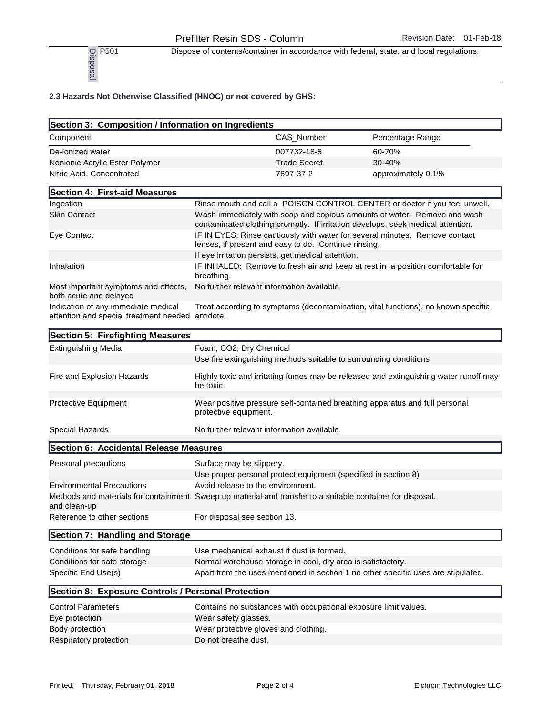P<sub>501</sub> Dispose of contents/container in accordance with federal, state, and local regulations.

## 2.3 Hazards Not Otherwise Classified (HNOC) or not covered by GHS:

| $\frac{1}{2}$ P501<br>$\frac{1}{2}$ P501                                                                                   |                                                                                                                                                        |                     | Dispose of contents/container in accordance with federal, state, and local regulations. |  |
|----------------------------------------------------------------------------------------------------------------------------|--------------------------------------------------------------------------------------------------------------------------------------------------------|---------------------|-----------------------------------------------------------------------------------------|--|
| 2.3 Hazards Not Otherwise Classified (HNOC) or not covered by GHS:                                                         |                                                                                                                                                        |                     |                                                                                         |  |
| Section 3: Composition / Information on Ingredients                                                                        |                                                                                                                                                        |                     |                                                                                         |  |
| Component                                                                                                                  |                                                                                                                                                        | CAS_Number          | Percentage Range                                                                        |  |
| De-ionized water                                                                                                           |                                                                                                                                                        | 007732-18-5         | 60-70%                                                                                  |  |
| Nonionic Acrylic Ester Polymer                                                                                             |                                                                                                                                                        | <b>Trade Secret</b> | 30-40%                                                                                  |  |
| Nitric Acid, Concentrated                                                                                                  |                                                                                                                                                        | 7697-37-2           | approximately 0.1%                                                                      |  |
| Section 4: First-aid Measures                                                                                              |                                                                                                                                                        |                     |                                                                                         |  |
| Ingestion                                                                                                                  |                                                                                                                                                        |                     |                                                                                         |  |
| <b>Skin Contact</b>                                                                                                        | Rinse mouth and call a POISON CONTROL CENTER or doctor if you feel unwell.<br>Wash immediately with soap and copious amounts of water. Remove and wash |                     |                                                                                         |  |
|                                                                                                                            |                                                                                                                                                        |                     | contaminated clothing promptly. If irritation develops, seek medical attention.         |  |
| Eye Contact                                                                                                                | lenses, if present and easy to do. Continue rinsing.                                                                                                   |                     | IF IN EYES: Rinse cautiously with water for several minutes. Remove contact             |  |
|                                                                                                                            | If eye irritation persists, get medical attention.                                                                                                     |                     |                                                                                         |  |
| Inhalation                                                                                                                 | breathing.                                                                                                                                             |                     | IF INHALED: Remove to fresh air and keep at rest in a position comfortable for          |  |
| Most important symptoms and effects,<br>both acute and delayed                                                             | No further relevant information available.                                                                                                             |                     |                                                                                         |  |
| Indication of any immediate medical<br>attention and special treatment needed                                              | antidote.                                                                                                                                              |                     | Treat according to symptoms (decontamination, vital functions), no known specific       |  |
| Section 5: Firefighting Measures                                                                                           |                                                                                                                                                        |                     |                                                                                         |  |
| <b>Extinguishing Media</b>                                                                                                 | Foam, CO2, Dry Chemical                                                                                                                                |                     |                                                                                         |  |
|                                                                                                                            | Use fire extinguishing methods suitable to surrounding conditions                                                                                      |                     |                                                                                         |  |
| Fire and Explosion Hazards                                                                                                 | be toxic.                                                                                                                                              |                     | Highly toxic and irritating fumes may be released and extinguishing water runoff may    |  |
| Protective Equipment                                                                                                       | protective equipment.                                                                                                                                  |                     | Wear positive pressure self-contained breathing apparatus and full personal             |  |
| Special Hazards                                                                                                            | No further relevant information available.                                                                                                             |                     |                                                                                         |  |
| Section 6: Accidental Release Measures                                                                                     |                                                                                                                                                        |                     |                                                                                         |  |
| Personal precautions                                                                                                       | Surface may be slippery.                                                                                                                               |                     |                                                                                         |  |
|                                                                                                                            | Use proper personal protect equipment (specified in section 8)                                                                                         |                     |                                                                                         |  |
| <b>Environmental Precautions</b>                                                                                           | Avoid release to the environment.                                                                                                                      |                     |                                                                                         |  |
| Methods and materials for containment Sweep up material and transfer to a suitable container for disposal.<br>and clean-up |                                                                                                                                                        |                     |                                                                                         |  |
| Reference to other sections                                                                                                | For disposal see section 13.                                                                                                                           |                     |                                                                                         |  |
| Section 7: Handling and Storage                                                                                            |                                                                                                                                                        |                     |                                                                                         |  |
| Conditions for safe handling                                                                                               | Use mechanical exhaust if dust is formed.                                                                                                              |                     |                                                                                         |  |
| Conditions for safe storage                                                                                                | Normal warehouse storage in cool, dry area is satisfactory.                                                                                            |                     |                                                                                         |  |
| Specific End Use(s)                                                                                                        |                                                                                                                                                        |                     | Apart from the uses mentioned in section 1 no other specific uses are stipulated.       |  |
| Section 8: Exposure Controls / Personal Protection                                                                         |                                                                                                                                                        |                     |                                                                                         |  |
| <b>Control Parameters</b>                                                                                                  | Contains no substances with occupational exposure limit values.                                                                                        |                     |                                                                                         |  |
| Eye protection                                                                                                             | Wear safety glasses.                                                                                                                                   |                     |                                                                                         |  |
| Body protection                                                                                                            | Wear protective gloves and clothing.                                                                                                                   |                     |                                                                                         |  |
| Respiratory protection                                                                                                     | Do not breathe dust.                                                                                                                                   |                     |                                                                                         |  |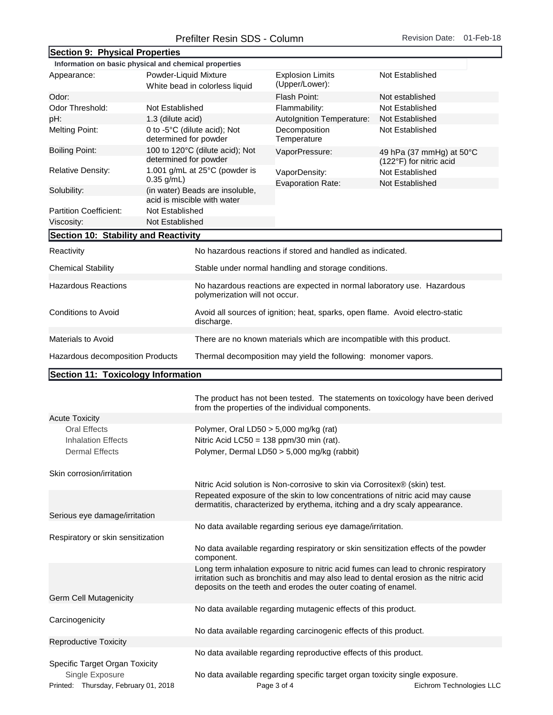| Section 9: Physical Properties                        |                       |                                                                                                                                                            |                                                                            |                                                                                                                                                                            |  |  |
|-------------------------------------------------------|-----------------------|------------------------------------------------------------------------------------------------------------------------------------------------------------|----------------------------------------------------------------------------|----------------------------------------------------------------------------------------------------------------------------------------------------------------------------|--|--|
| Information on basic physical and chemical properties |                       |                                                                                                                                                            |                                                                            |                                                                                                                                                                            |  |  |
| Powder-Liquid Mixture<br>Appearance:                  |                       | White bead in colorless liquid                                                                                                                             | <b>Explosion Limits</b><br>(Upper/Lower):                                  | Not Established                                                                                                                                                            |  |  |
| Odor:                                                 |                       |                                                                                                                                                            | Flash Point:                                                               | Not established                                                                                                                                                            |  |  |
| Odor Threshold:<br>Not Established                    |                       |                                                                                                                                                            | Flammability:                                                              | Not Established                                                                                                                                                            |  |  |
| pH:<br>1.3 (dilute acid)                              |                       |                                                                                                                                                            | Autolgnition Temperature:                                                  | Not Established                                                                                                                                                            |  |  |
| <b>Melting Point:</b><br>determined for powder        |                       | 0 to -5°C (dilute acid); Not                                                                                                                               | Decomposition<br>Temperature                                               | Not Established                                                                                                                                                            |  |  |
| <b>Boiling Point:</b>                                 | determined for powder | 100 to 120°C (dilute acid); Not                                                                                                                            | VaporPressure:                                                             | 49 hPa (37 mmHg) at 50°C<br>(122°F) for nitric acid                                                                                                                        |  |  |
| <b>Relative Density:</b><br>$0.35$ g/mL)              |                       | 1.001 g/mL at 25°C (powder is                                                                                                                              | VaporDensity:<br><b>Evaporation Rate:</b>                                  | Not Established<br>Not Established                                                                                                                                         |  |  |
| Solubility:                                           |                       | (in water) Beads are insoluble,<br>acid is miscible with water                                                                                             |                                                                            |                                                                                                                                                                            |  |  |
| <b>Partition Coefficient:</b>                         | Not Established       |                                                                                                                                                            |                                                                            |                                                                                                                                                                            |  |  |
| Viscosity:                                            | Not Established       |                                                                                                                                                            |                                                                            |                                                                                                                                                                            |  |  |
| Section 10: Stability and Reactivity                  |                       |                                                                                                                                                            |                                                                            |                                                                                                                                                                            |  |  |
| Reactivity                                            |                       |                                                                                                                                                            | No hazardous reactions if stored and handled as indicated.                 |                                                                                                                                                                            |  |  |
| <b>Chemical Stability</b>                             |                       |                                                                                                                                                            | Stable under normal handling and storage conditions.                       |                                                                                                                                                                            |  |  |
| <b>Hazardous Reactions</b>                            |                       | No hazardous reactions are expected in normal laboratory use. Hazardous<br>polymerization will not occur.                                                  |                                                                            |                                                                                                                                                                            |  |  |
| <b>Conditions to Avoid</b>                            |                       | Avoid all sources of ignition; heat, sparks, open flame. Avoid electro-static<br>discharge.                                                                |                                                                            |                                                                                                                                                                            |  |  |
| <b>Materials to Avoid</b>                             |                       |                                                                                                                                                            | There are no known materials which are incompatible with this product.     |                                                                                                                                                                            |  |  |
| Hazardous decomposition Products                      |                       |                                                                                                                                                            | Thermal decomposition may yield the following: monomer vapors.             |                                                                                                                                                                            |  |  |
| Section 11: Toxicology Information                    |                       |                                                                                                                                                            |                                                                            |                                                                                                                                                                            |  |  |
|                                                       |                       |                                                                                                                                                            | from the properties of the individual components.                          | The product has not been tested. The statements on toxicology have been derived                                                                                            |  |  |
| <b>Acute Toxicity</b>                                 |                       |                                                                                                                                                            |                                                                            |                                                                                                                                                                            |  |  |
| <b>Oral Effects</b>                                   |                       | Polymer, Oral LD50 $>$ 5,000 mg/kg (rat)                                                                                                                   |                                                                            |                                                                                                                                                                            |  |  |
| <b>Inhalation Effects</b><br><b>Dermal Effects</b>    |                       | Nitric Acid LC50 = 138 ppm/30 min (rat).<br>Polymer, Dermal LD50 > 5,000 mg/kg (rabbit)                                                                    |                                                                            |                                                                                                                                                                            |  |  |
| Skin corrosion/irritation                             |                       |                                                                                                                                                            |                                                                            |                                                                                                                                                                            |  |  |
|                                                       |                       | Nitric Acid solution is Non-corrosive to skin via Corrositex® (skin) test.<br>Repeated exposure of the skin to low concentrations of nitric acid may cause |                                                                            |                                                                                                                                                                            |  |  |
| Serious eye damage/irritation                         |                       |                                                                                                                                                            | dermatitis, characterized by erythema, itching and a dry scaly appearance. |                                                                                                                                                                            |  |  |
| Respiratory or skin sensitization                     |                       | No data available regarding serious eye damage/irritation.                                                                                                 |                                                                            |                                                                                                                                                                            |  |  |
|                                                       |                       | No data available regarding respiratory or skin sensitization effects of the powder<br>component.                                                          |                                                                            |                                                                                                                                                                            |  |  |
| Germ Cell Mutagenicity                                |                       |                                                                                                                                                            | deposits on the teeth and erodes the outer coating of enamel.              | Long term inhalation exposure to nitric acid fumes can lead to chronic respiratory<br>irritation such as bronchitis and may also lead to dental erosion as the nitric acid |  |  |
|                                                       |                       |                                                                                                                                                            |                                                                            |                                                                                                                                                                            |  |  |
| Carcinogenicity                                       |                       | No data available regarding mutagenic effects of this product.<br>No data available regarding carcinogenic effects of this product.                        |                                                                            |                                                                                                                                                                            |  |  |
|                                                       |                       |                                                                                                                                                            |                                                                            |                                                                                                                                                                            |  |  |
| <b>Reproductive Toxicity</b>                          |                       |                                                                                                                                                            | No data available regarding reproductive effects of this product.          |                                                                                                                                                                            |  |  |
| Specific Target Organ Toxicity                        |                       |                                                                                                                                                            |                                                                            |                                                                                                                                                                            |  |  |

Single Exposure **No data available regarding specific target organ toxicity single exposure**.<br>Eichrom Technologies LLC Page 3 of 4 Thursday, February 01, 2018 Printed: Thursday, February 01, 2018